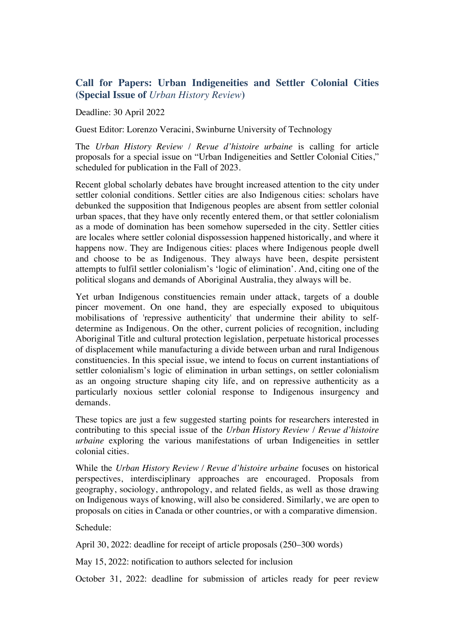## **Call for Papers: Urban Indigeneities and Settler Colonial Cities (Special Issue of** *Urban History Review***)**

Deadline: 30 April 2022

Guest Editor: Lorenzo Veracini, Swinburne University of Technology

The *Urban History Review* / *Revue d'histoire urbaine* is calling for article proposals for a special issue on "Urban Indigeneities and Settler Colonial Cities," scheduled for publication in the Fall of 2023.

Recent global scholarly debates have brought increased attention to the city under settler colonial conditions. Settler cities are also Indigenous cities: scholars have debunked the supposition that Indigenous peoples are absent from settler colonial urban spaces, that they have only recently entered them, or that settler colonialism as a mode of domination has been somehow superseded in the city. Settler cities are locales where settler colonial dispossession happened historically, and where it happens now. They are Indigenous cities: places where Indigenous people dwell and choose to be as Indigenous. They always have been, despite persistent attempts to fulfil settler colonialism's 'logic of elimination'. And, citing one of the political slogans and demands of Aboriginal Australia, they always will be.

Yet urban Indigenous constituencies remain under attack, targets of a double pincer movement. On one hand, they are especially exposed to ubiquitous mobilisations of 'repressive authenticity' that undermine their ability to selfdetermine as Indigenous. On the other, current policies of recognition, including Aboriginal Title and cultural protection legislation, perpetuate historical processes of displacement while manufacturing a divide between urban and rural Indigenous constituencies. In this special issue, we intend to focus on current instantiations of settler colonialism's logic of elimination in urban settings, on settler colonialism as an ongoing structure shaping city life, and on repressive authenticity as a particularly noxious settler colonial response to Indigenous insurgency and demands.

These topics are just a few suggested starting points for researchers interested in contributing to this special issue of the *Urban History Review* / *Revue d'histoire urbaine* exploring the various manifestations of urban Indigeneities in settler colonial cities.

While the *Urban History Review / Revue d'histoire urbaine* focuses on historical perspectives, interdisciplinary approaches are encouraged. Proposals from geography, sociology, anthropology, and related fields, as well as those drawing on Indigenous ways of knowing, will also be considered. Similarly, we are open to proposals on cities in Canada or other countries, or with a comparative dimension.

Schedule:

April 30, 2022: deadline for receipt of article proposals (250–300 words)

May 15, 2022: notification to authors selected for inclusion

October 31, 2022: deadline for submission of articles ready for peer review